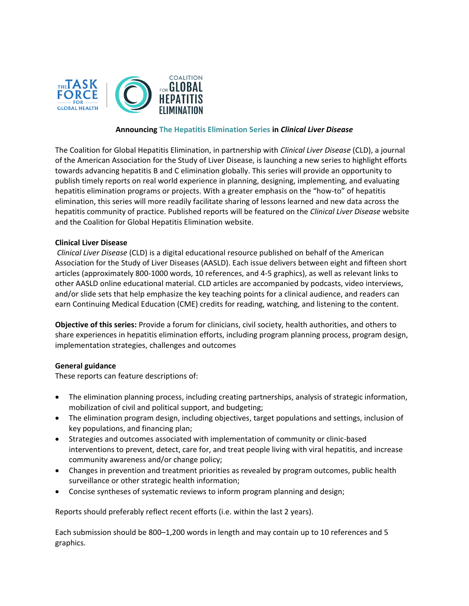

### **Announcing The Hepatitis Elimination Series in** *Clinical Liver Disease*

The Coalition for Global Hepatitis Elimination, in partnership with *Clinical Liver Disease* (CLD), a journal of the American Association for the Study of Liver Disease, is launching a new series to highlight efforts towards advancing hepatitis B and C elimination globally. This series will provide an opportunity to publish timely reports on real world experience in planning, designing, implementing, and evaluating hepatitis elimination programs or projects. With a greater emphasis on the "how-to" of hepatitis elimination, this series will more readily facilitate sharing of lessons learned and new data across the hepatitis community of practice. Published reports will be featured on the *Clinical Liver Disease* website and the Coalition for Global Hepatitis Elimination website.

#### **Clinical Liver Disease**

*Clinical Liver Disease* (CLD) is a digital educational resource published on behalf of the American Association for the Study of Liver Diseases (AASLD). Each issue delivers between eight and fifteen short articles (approximately 800-1000 words, 10 references, and 4-5 graphics), as well as relevant links to other AASLD online educational material. CLD articles are accompanied by podcasts, video interviews, and/or slide sets that help emphasize the key teaching points for a clinical audience, and readers can earn Continuing Medical Education (CME) credits for reading, watching, and listening to the content.

**Objective of this series:** Provide a forum for clinicians, civil society, health authorities, and others to share experiences in hepatitis elimination efforts, including program planning process, program design, implementation strategies, challenges and outcomes

# **General guidance**

These reports can feature descriptions of:

- The elimination planning process, including creating partnerships, analysis of strategic information, mobilization of civil and political support, and budgeting;
- The elimination program design, including objectives, target populations and settings, inclusion of key populations, and financing plan;
- Strategies and outcomes associated with implementation of community or clinic-based interventions to prevent, detect, care for, and treat people living with viral hepatitis, and increase community awareness and/or change policy;
- Changes in prevention and treatment priorities as revealed by program outcomes, public health surveillance or other strategic health information;
- Concise syntheses of systematic reviews to inform program planning and design;

Reports should preferably reflect recent efforts (i.e. within the last 2 years).

Each submission should be 800–1,200 words in length and may contain up to 10 references and 5 graphics.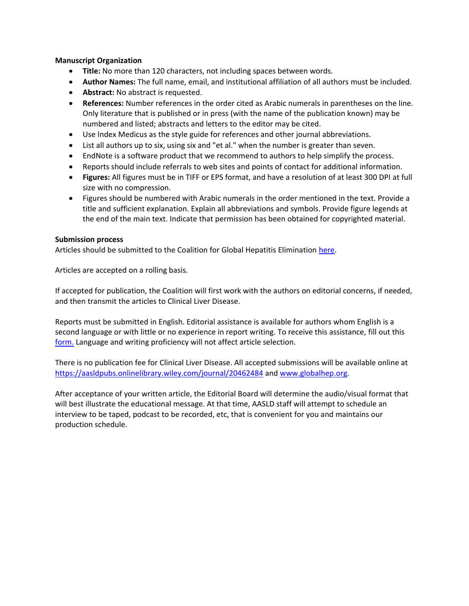# **Manuscript Organization**

- **Title:** No more than 120 characters, not including spaces between words.
- **Author Names:** The full name, email, and institutional affiliation of all authors must be included.
- **Abstract:** No abstract is requested.
- **References:** Number references in the order cited as Arabic numerals in parentheses on the line. Only literature that is published or in press (with the name of the publication known) may be numbered and listed; abstracts and letters to the editor may be cited.
- Use Index Medicus as the style guide for references and other journal abbreviations.
- List all authors up to six, using six and "et al." when the number is greater than seven.
- EndNote is a software product that we recommend to authors to help simplify the process.
- Reports should include referrals to web sites and points of contact for additional information.
- **Figures:** All figures must be in TIFF or EPS format, and have a resolution of at least 300 DPI at full size with no compression.
- Figures should be numbered with Arabic numerals in the order mentioned in the text. Provide a title and sufficient explanation. Explain all abbreviations and symbols. Provide figure legends at the end of the main text. Indicate that permission has been obtained for copyrighted material.

### **Submission process**

Articles should be submitted to the Coalition for Global Hepatitis Elimination [here.](https://app.smartsheet.com/b/form/cc3f1c72c5854df3bf377216727c5ca1)

Articles are accepted on a rolling basis.

If accepted for publication, the Coalition will first work with the authors on editorial concerns, if needed, and then transmit the articles to Clinical Liver Disease.

Reports must be submitted in English. Editorial assistance is available for authors whom English is a second language or with little or no experience in report writing. To receive this assistance, fill out this [form.](https://app.smartsheet.com/b/form/cc3f1c72c5854df3bf377216727c5ca1) Language and writing proficiency will not affect article selection.

There is no publication fee for Clinical Liver Disease. All accepted submissions will be available online at <https://aasldpubs.onlinelibrary.wiley.com/journal/20462484> an[d www.globalhep.org.](http://www.globalhep.org/)

After acceptance of your written article, the Editorial Board will determine the audio/visual format that will best illustrate the educational message. At that time, AASLD staff will attempt to schedule an interview to be taped, podcast to be recorded, etc, that is convenient for you and maintains our production schedule.